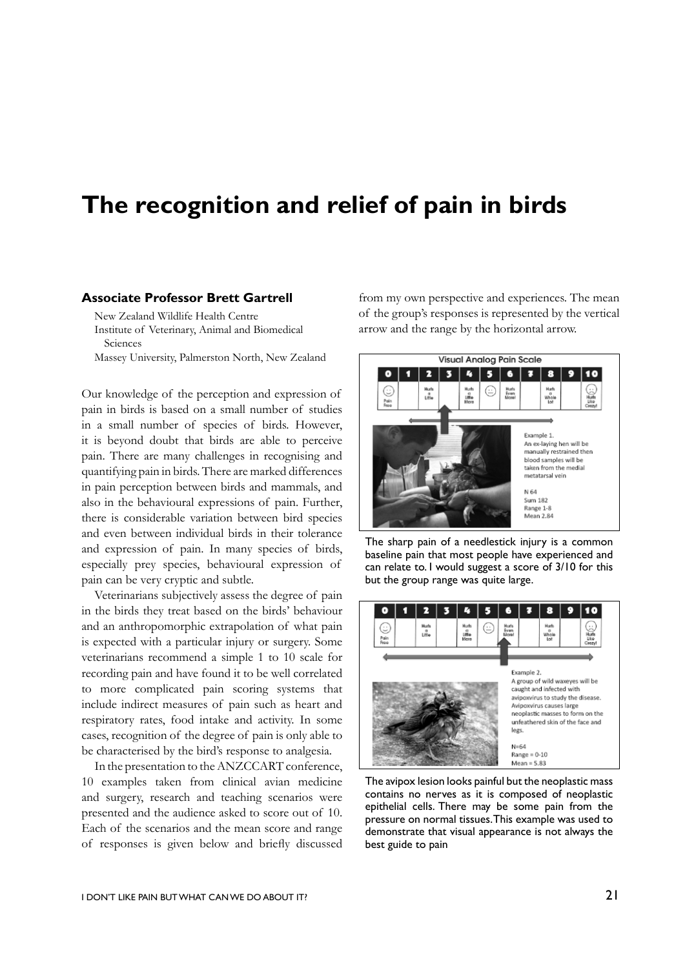## **The recognition and relief of pain in birds**

## **Associate Professor Brett Gartrell**

New Zealand Wildlife Health Centre Institute of Veterinary, Animal and Biomedical Sciences

Massey University, Palmerston North, New Zealand

Our knowledge of the perception and expression of pain in birds is based on a small number of studies in a small number of species of birds. However, it is beyond doubt that birds are able to perceive pain. There are many challenges in recognising and quantifying pain in birds. There are marked differences in pain perception between birds and mammals, and also in the behavioural expressions of pain. Further, there is considerable variation between bird species and even between individual birds in their tolerance and expression of pain. In many species of birds, especially prey species, behavioural expression of pain can be very cryptic and subtle.

Veterinarians subjectively assess the degree of pain in the birds they treat based on the birds' behaviour and an anthropomorphic extrapolation of what pain is expected with a particular injury or surgery. Some veterinarians recommend a simple 1 to 10 scale for recording pain and have found it to be well correlated to more complicated pain scoring systems that include indirect measures of pain such as heart and respiratory rates, food intake and activity. In some cases, recognition of the degree of pain is only able to be characterised by the bird's response to analgesia.

In the presentation to the ANZCCART conference, 10 examples taken from clinical avian medicine and surgery, research and teaching scenarios were presented and the audience asked to score out of 10. Each of the scenarios and the mean score and range of responses is given below and briefly discussed

from my own perspective and experiences. The mean of the group's responses is represented by the vertical arrow and the range by the horizontal arrow.



The sharp pain of a needlestick injury is a common baseline pain that most people have experienced and can relate to. I would suggest a score of 3/10 for this but the group range was quite large.



The avipox lesion looks painful but the neoplastic mass contains no nerves as it is composed of neoplastic epithelial cells. There may be some pain from the pressure on normal tissues. This example was used to demonstrate that visual appearance is not always the best guide to pain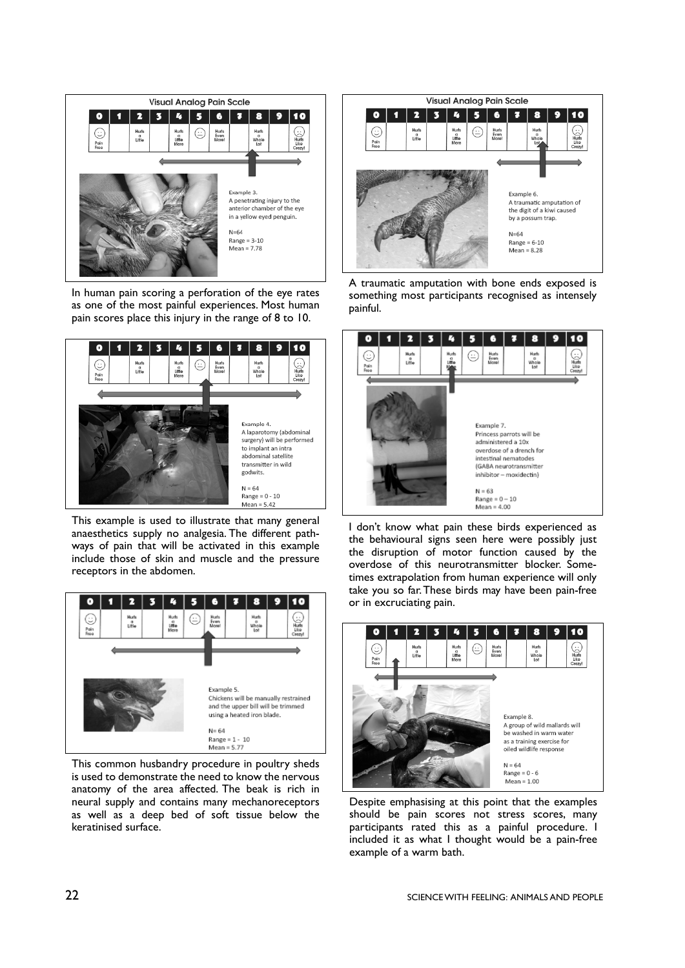

In human pain scoring a perforation of the eye rates as one of the most painful experiences. Most human pain scores place this injury in the range of 8 to 10.



This example is used to illustrate that many general anaesthetics supply no analgesia. The different pathways of pain that will be activated in this example include those of skin and muscle and the pressure receptors in the abdomen.



This common husbandry procedure in poultry sheds is used to demonstrate the need to know the nervous anatomy of the area affected. The beak is rich in neural supply and contains many mechanoreceptors as well as a deep bed of soft tissue below the keratinised surface.



A traumatic amputation with bone ends exposed is something most participants recognised as intensely painful.



I don't know what pain these birds experienced as the behavioural signs seen here were possibly just the disruption of motor function caused by the overdose of this neurotransmitter blocker. Sometimes extrapolation from human experience will only take you so far. These birds may have been pain-free or in excruciating pain.



Despite emphasising at this point that the examples should be pain scores not stress scores, many participants rated this as a painful procedure. I included it as what I thought would be a pain-free example of a warm bath.